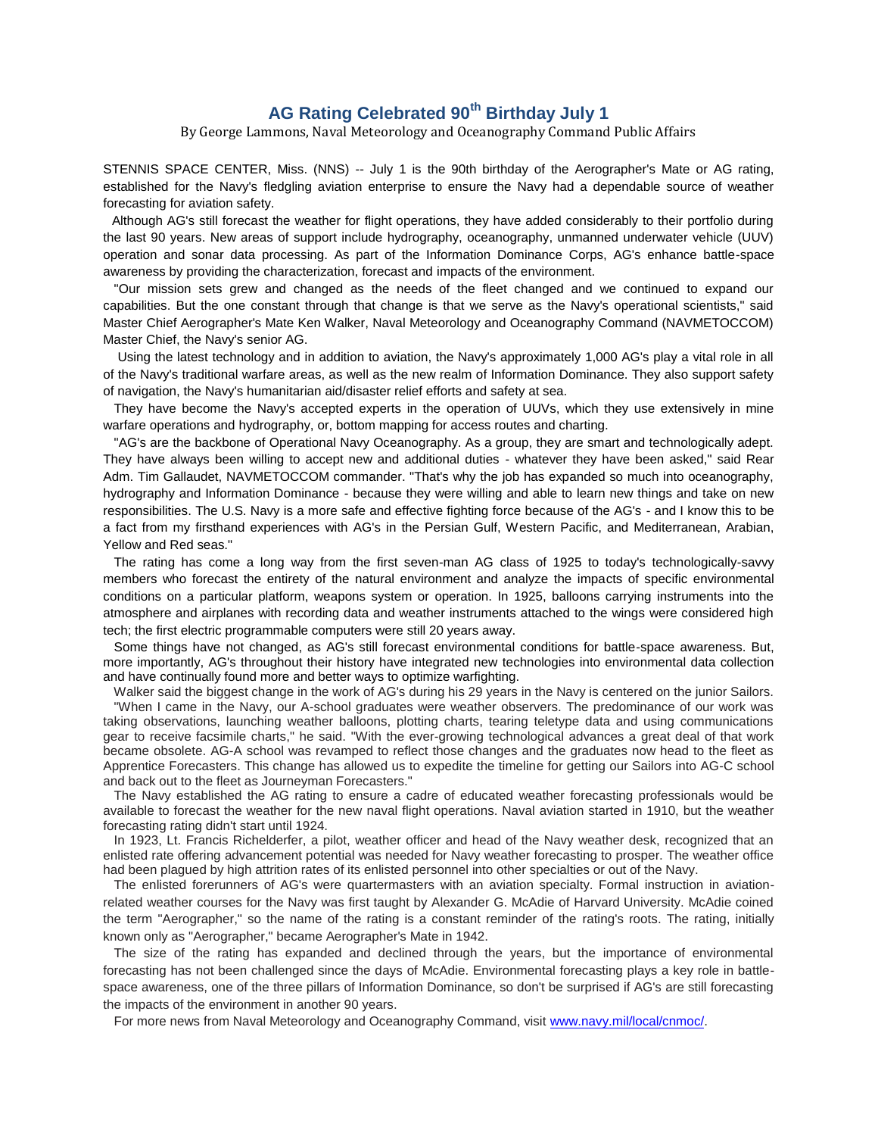## **AG Rating Celebrated 90th Birthday July 1**

By George Lammons, Naval Meteorology and Oceanography Command Public Affairs

STENNIS SPACE CENTER, Miss. (NNS) -- July 1 is the 90th birthday of the Aerographer's Mate or AG rating, established for the Navy's fledgling aviation enterprise to ensure the Navy had a dependable source of weather forecasting for aviation safety.

 Although AG's still forecast the weather for flight operations, they have added considerably to their portfolio during the last 90 years. New areas of support include hydrography, oceanography, unmanned underwater vehicle (UUV) operation and sonar data processing. As part of the Information Dominance Corps, AG's enhance battle-space awareness by providing the characterization, forecast and impacts of the environment.

 "Our mission sets grew and changed as the needs of the fleet changed and we continued to expand our capabilities. But the one constant through that change is that we serve as the Navy's operational scientists," said Master Chief Aerographer's Mate Ken Walker, Naval Meteorology and Oceanography Command (NAVMETOCCOM) Master Chief, the Navy's senior AG.

 Using the latest technology and in addition to aviation, the Navy's approximately 1,000 AG's play a vital role in all of the Navy's traditional warfare areas, as well as the new realm of Information Dominance. They also support safety of navigation, the Navy's humanitarian aid/disaster relief efforts and safety at sea.

 They have become the Navy's accepted experts in the operation of UUVs, which they use extensively in mine warfare operations and hydrography, or, bottom mapping for access routes and charting.

 "AG's are the backbone of Operational Navy Oceanography. As a group, they are smart and technologically adept. They have always been willing to accept new and additional duties - whatever they have been asked," said Rear Adm. Tim Gallaudet, NAVMETOCCOM commander. "That's why the job has expanded so much into oceanography, hydrography and Information Dominance - because they were willing and able to learn new things and take on new responsibilities. The U.S. Navy is a more safe and effective fighting force because of the AG's - and I know this to be a fact from my firsthand experiences with AG's in the Persian Gulf, Western Pacific, and Mediterranean, Arabian, Yellow and Red seas."

 The rating has come a long way from the first seven-man AG class of 1925 to today's technologically-savvy members who forecast the entirety of the natural environment and analyze the impacts of specific environmental conditions on a particular platform, weapons system or operation. In 1925, balloons carrying instruments into the atmosphere and airplanes with recording data and weather instruments attached to the wings were considered high tech; the first electric programmable computers were still 20 years away.

 Some things have not changed, as AG's still forecast environmental conditions for battle-space awareness. But, more importantly, AG's throughout their history have integrated new technologies into environmental data collection and have continually found more and better ways to optimize warfighting.

 Walker said the biggest change in the work of AG's during his 29 years in the Navy is centered on the junior Sailors. "When I came in the Navy, our A-school graduates were weather observers. The predominance of our work was taking observations, launching weather balloons, plotting charts, tearing teletype data and using communications gear to receive facsimile charts," he said. "With the ever-growing technological advances a great deal of that work became obsolete. AG-A school was revamped to reflect those changes and the graduates now head to the fleet as Apprentice Forecasters. This change has allowed us to expedite the timeline for getting our Sailors into AG-C school and back out to the fleet as Journeyman Forecasters."

 The Navy established the AG rating to ensure a cadre of educated weather forecasting professionals would be available to forecast the weather for the new naval flight operations. Naval aviation started in 1910, but the weather forecasting rating didn't start until 1924.

 In 1923, Lt. Francis Richelderfer, a pilot, weather officer and head of the Navy weather desk, recognized that an enlisted rate offering advancement potential was needed for Navy weather forecasting to prosper. The weather office had been plagued by high attrition rates of its enlisted personnel into other specialties or out of the Navy.

 The enlisted forerunners of AG's were quartermasters with an aviation specialty. Formal instruction in aviationrelated weather courses for the Navy was first taught by Alexander G. McAdie of Harvard University. McAdie coined the term "Aerographer," so the name of the rating is a constant reminder of the rating's roots. The rating, initially known only as "Aerographer," became Aerographer's Mate in 1942.

 The size of the rating has expanded and declined through the years, but the importance of environmental forecasting has not been challenged since the days of McAdie. Environmental forecasting plays a key role in battlespace awareness, one of the three pillars of Information Dominance, so don't be surprised if AG's are still forecasting the impacts of the environment in another 90 years.

For more news from Naval Meteorology and Oceanography Command, visit [www.navy.mil/local/cnmoc/.](http://www.navy.mil/local/cnmoc/)